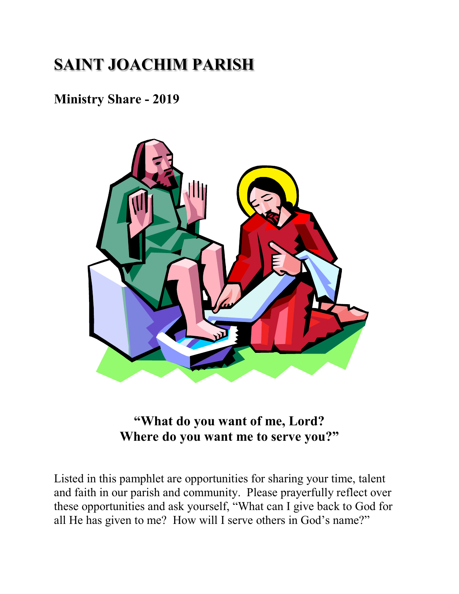# **SAINT JOACHIM PARISH**

# **Ministry Share - 2019**



# **"What do you want of me, Lord? Where do you want me to serve you?"**

Listed in this pamphlet are opportunities for sharing your time, talent and faith in our parish and community. Please prayerfully reflect over these opportunities and ask yourself, "What can I give back to God for all He has given to me? How will I serve others in God's name?"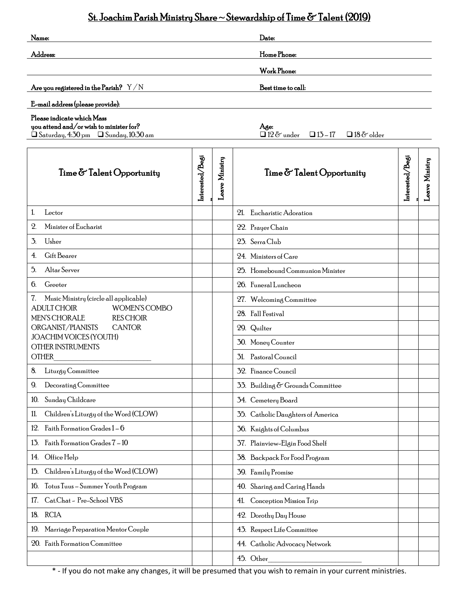# St. Joachim Parish Ministry Share ~ Stewardship of Time & Talent (2019)

| Name:                                                                                                                     |                 |                | Date:                                                                          |                 |                |
|---------------------------------------------------------------------------------------------------------------------------|-----------------|----------------|--------------------------------------------------------------------------------|-----------------|----------------|
| Address:                                                                                                                  |                 |                | Home Phone:                                                                    |                 |                |
|                                                                                                                           |                 |                | Work Phone:                                                                    |                 |                |
| Are you registered in the Parish? $Y/N$                                                                                   |                 |                | Best time to call:                                                             |                 |                |
| E-mail address (please provide):                                                                                          |                 |                |                                                                                |                 |                |
| Please indicate which Mass<br>you attend and/or wish to minister for?<br>$\Box$ Saturday, 4:30 pm $\Box$ Sunday, 10:30 am |                 |                | Age:<br>$\Box$ 12 $\delta$ under<br>$\Box$ 13 – 17<br>$\Box$ 18 $\sigma$ older |                 |                |
| Time & Talent Opportunity                                                                                                 | Interested/Begi | Leave Ministry | Time & Talent Opportunity                                                      | Interested/Begi | Leave Ministry |
| $\mathbf{1}$<br>Lector                                                                                                    |                 |                | 21. Eucharistic Adoration                                                      |                 |                |
| Minister of Eucharist<br>2.                                                                                               |                 |                | 22. Prayer Chain                                                               |                 |                |
| 3.<br>Usher                                                                                                               |                 |                | 23. Serra Club                                                                 |                 |                |
| Gift Bearer<br>4.                                                                                                         |                 |                | 24. Ministers of Care                                                          |                 |                |
| Altar Server<br>5.                                                                                                        |                 |                | 25. Homebound Communion Minister                                               |                 |                |
| Greeter<br>6.                                                                                                             |                 |                | 26. Funeral Luncheon                                                           |                 |                |
| 7.<br>Music Ministry (circle all applicable)                                                                              |                 |                | 27. Welcoming Committee                                                        |                 |                |
| <b>ADULT CHOIR</b><br>WOMEN'S COMBO<br>MEN'S CHORALE<br><b>RES CHOIR</b>                                                  |                 |                | 28. Fall Festival                                                              |                 |                |
| ORGANIST/PIANISTS<br><b>CANTOR</b>                                                                                        |                 |                | 29. Quilter                                                                    |                 |                |
| <b>JOACHIM VOICES (YOUTH)</b><br><b>OTHER INSTRUMENTS</b>                                                                 |                 |                | 30. Money Counter                                                              |                 |                |
| <b>OTHER</b>                                                                                                              |                 |                | 31. Pastoral Council                                                           |                 |                |
| Liturgy Committee<br>8.                                                                                                   |                 |                | 32. Finance Council                                                            |                 |                |
| 9.<br>Decorating Committee                                                                                                |                 |                | 33. Building & Grounds Committee                                               |                 |                |
| Sunday Childcare<br>10.                                                                                                   |                 |                | 34. Cemetery Board                                                             |                 |                |
| Children's Liturgy of the Word (CLOW)<br>11.                                                                              |                 |                | 35. Catholic Daughters of America                                              |                 |                |
| Faith Formation Grades 1-6<br>12.                                                                                         |                 |                | 36. Knights of Columbus                                                        |                 |                |
| 13. Faith Formation Grades 7-10                                                                                           |                 |                | 37. Plainview-Elgin Food Shelf                                                 |                 |                |
| Office Help<br>14.                                                                                                        |                 |                | 38. Backpack For Food Program                                                  |                 |                |
| Children's Liturgy of the Word (CLOW)<br>15.                                                                              |                 |                | 39. Family Promise                                                             |                 |                |
| Totus Tuus – Summer Youth Program<br>16.                                                                                  |                 |                | 40. Sharing and Caring Hands                                                   |                 |                |
| Cat.Chat - Pre-School VBS<br>17.                                                                                          |                 |                | 41. Conception Mission Trip                                                    |                 |                |
| 18. RCIA                                                                                                                  |                 |                | 42. Dorothy Day House                                                          |                 |                |
| 19. Marriage Preparation Mentor Couple                                                                                    |                 |                | 43. Respect Life Committee                                                     |                 |                |
| 20. Faith Formation Committee                                                                                             |                 |                | 44. Catholic Advocacy Network                                                  |                 |                |
|                                                                                                                           |                 |                | 45. Other                                                                      |                 |                |

\* - If you do not make any changes, it will be presumed that you wish to remain in your current ministries.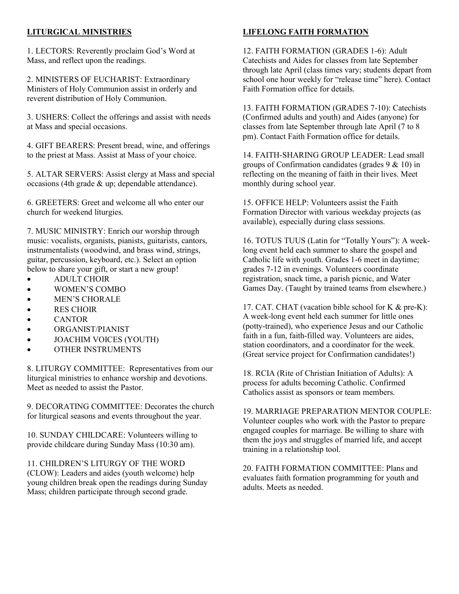## **LITURGICAL MINISTRIES**

1. LECTORS: Reverently proclaim God's Word at Mass, and reflect upon the readings.

2. MINISTERS OF EUCHARIST: Extraordinary Ministers of Holy Communion assist in orderly and reverent distribution of Holy Communion.

3. USHERS: Collect the offerings and assist with needs at Mass and special occasions.

4. GIFT BEARERS: Present bread, wine, and offerings to the priest at Mass. Assist at Mass of your choice.

5. ALTAR SERVERS: Assist clergy at Mass and special occasions (4th grade & up; dependable attendance).

6. GREETERS: Greet and welcome all who enter our church for weekend liturgies.

7. MUSIC MINISTRY: Enrich our worship through music: vocalists, organists, pianists, guitarists, cantors, instrumentalists (woodwind, and brass wind, strings, guitar, percussion, keyboard, etc.). Select an option below to share your gift, or start a new group!

- ADULT CHOIR
- WOMEN'S COMBO
- MEN'S CHORALE
- **RES CHOIR**
- CANTOR
- ORGANIST/PIANIST
- JOACHIM VOICES (YOUTH)
- OTHER INSTRUMENTS

8. LITURGY COMMITTEE: Representatives from our liturgical ministries to enhance worship and devotions. Meet as needed to assist the Pastor.

9. DECORATING COMMITTEE: Decorates the church for liturgical seasons and events throughout the year.

10. SUNDAY CHILDCARE: Volunteers willing to provide childcare during Sunday Mass (10:30 am).

11. CHILDREN'S LITURGY OF THE WORD (CLOW): Leaders and aides (youth welcome) help young children break open the readings during Sunday Mass; children participate through second grade.

### **LIFELONG FAITH FORMATION**

12. FAITH FORMATION (GRADES 1-6): Adult Catechists and Aides for classes from late September through late April (class times vary; students depart from school one hour weekly for "release time" here). Contact Faith Formation office for details.

13. FAITH FORMATION (GRADES 7-10): Catechists (Confirmed adults and youth) and Aides (anyone) for classes from late September through late April (7 to 8 pm). Contact Faith Formation office for details.

14. FAITH-SHARING GROUP LEADER: Lead small groups of Confirmation candidates (grades 9 & 10) in reflecting on the meaning of faith in their lives. Meet monthly during school year.

15. OFFICE HELP: Volunteers assist the Faith Formation Director with various weekday projects (as available), especially during class sessions.

16. TOTUS TUUS (Latin for "Totally Yours"): A weeklong event held each summer to share the gospel and Catholic life with youth. Grades 1-6 meet in daytime; grades 7-12 in evenings. Volunteers coordinate registration, snack time, a parish picnic, and Water Games Day. (Taught by trained teams from elsewhere.)

17. CAT. CHAT (vacation bible school for K & pre-K): A week-long event held each summer for little ones (potty-trained), who experience Jesus and our Catholic faith in a fun, faith-filled way. Volunteers are aides, station coordinators, and a coordinator for the week. (Great service project for Confirmation candidates!)

18. RCIA (Rite of Christian Initiation of Adults): A process for adults becoming Catholic. Confirmed Catholics assist as sponsors or team members.

19. MARRIAGE PREPARATION MENTOR COUPLE: Volunteer couples who work with the Pastor to prepare engaged couples for marriage. Be willing to share with them the joys and struggles of married life, and accept training in a relationship tool.

20. FAITH FORMATION COMMITTEE: Plans and evaluates faith formation programming for youth and adults. Meets as needed.